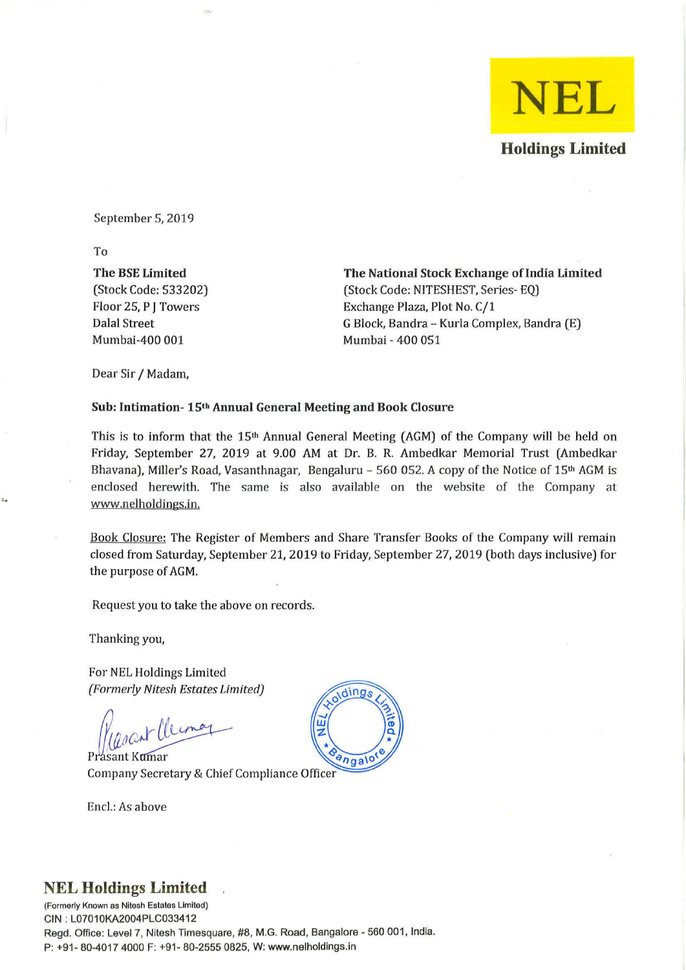

September 5, 2019

To

'.

The BSE Limited (Stock Code: 533202) Floor 25, P J Towers Dalal Street Mumbai-400 001

The National Stock Exchange of India Limited (Stock Code: NITESHEST, Series- EQ) Exchange Plaza, Plot No. C/1 G Block, Bandra - Kurla Complex, Bandra (E) Mumbai - 400 051

Dear Sir / Madam,

### Sub: Intimation- 15th Annual General Meeting and Book Closure

This is to inform that the  $15<sup>th</sup>$  Annual General Meeting (AGM) of the Company will be held on Friday, September 27, 2019 at 9.00 AM at Dr. B. R. Ambedkar Memorial Trust (Ambedkar Bhavana), Miller's Road, Vasanthnagar, Bengaluru - 560 052. A copy of the Notice of  $15<sup>th</sup>$  AGM is enclosed herewith. The same is also available on the website of the Company at www.nelholdings.in.

Book Closure: The Register of Members and Share Transfer Books of the Company will remain closed from Saturday, September 21,2019 to Friday, September 27, 2019 (both days inclusive) for the purpose of AGM.

Request you to take the above on records.

Thanking you,

For NEL Holdings Limited *(Formerly Nitesh Estates Limited)* 

Rasant Cleiman

Prasant Kumar Company Secretary & Chief Compliance Officer

Encl.: As above

# dings  $9n$ galo

### **NEL Holdings Limited**

**(Formerly Known as Nitesh Estates LImited)**  GIN : L07010KA2004PLG033412 Regd. Office: Level 7, Nitesh Timesquare, #8, M.G. Road, Bangalore - 560 001, India. P: +91- 80-4017 4000 F: +91- 80-2555 0825, W: www.nelholdings.in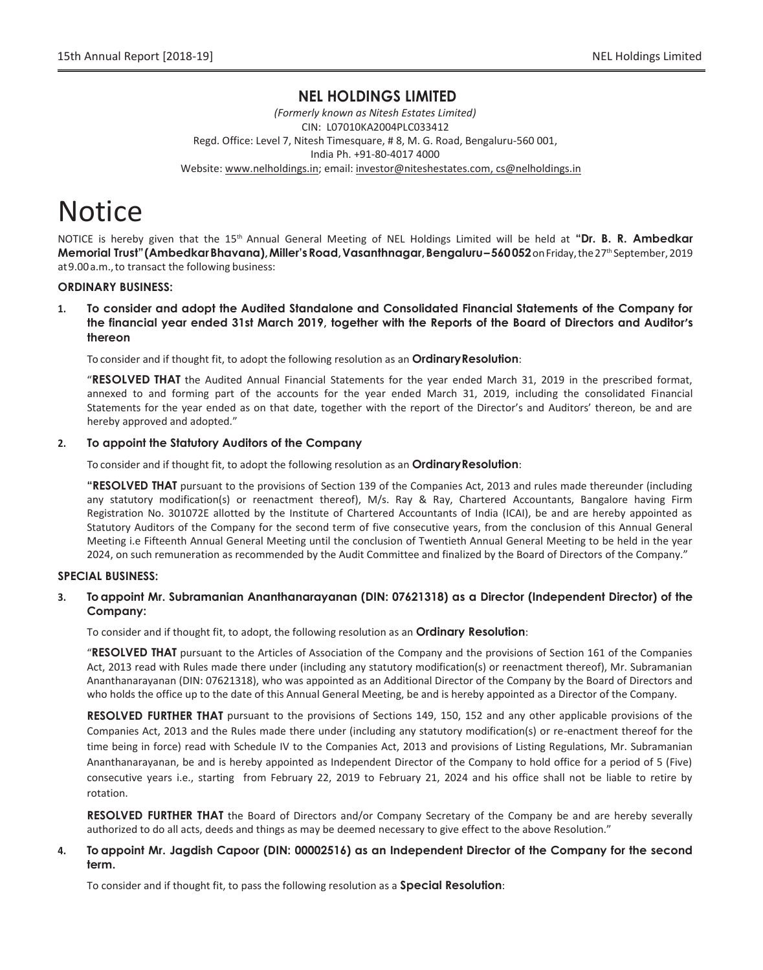### **NEL HOLDINGS LIMITED**

*(Formerly known as Nitesh Estates Limited)* CIN: L07010KA2004PLC033412 Regd. Office: Level 7, Nitesh Timesquare, # 8, M. G. Road, Bengaluru-560 001, India Ph. +91-80-4017 4000 Website: www.nelholdings.in; email[: investor@niteshestates.com,](mailto:investor@niteshestates.com) cs@nelholdings.in

## **Notice**

NOTICE is hereby given that the 15<sup>th</sup> Annual General Meeting of NEL Holdings Limited will be held at "Dr. B. R. Ambedkar **Memorial Trust"(AmbedkarBhavana),Miller"sRoad,Vasanthnagar,Bengaluru–560052**onFriday,the27 th September,2019 at9.00a.m.,to transact the following business:

### **ORDINARY BUSINESS:**

**1. To consider and adopt the Audited Standalone and Consolidated Financial Statements of the Company for the financial year ended 31st March 2019, together with the Reports of the Board of Directors and Auditor's thereon**

To consider and if thought fit, to adopt the following resolution as an **OrdinaryResolution**:

"**RESOLVED THAT** the Audited Annual Financial Statements for the year ended March 31, 2019 in the prescribed format, annexed to and forming part of the accounts for the year ended March 31, 2019, including the consolidated Financial Statements for the year ended as on that date, together with the report of the Director's and Auditors' thereon, be and are hereby approved and adopted."

### **2. To appoint the Statutory Auditors of the Company**

To consider and if thought fit, to adopt the following resolution as an **OrdinaryResolution**:

**"RESOLVED THAT** pursuant to the provisions of Section 139 of the Companies Act, 2013 and rules made thereunder (including any statutory modification(s) or reenactment thereof), M/s. Ray & Ray, Chartered Accountants, Bangalore having Firm Registration No. 301072E allotted by the Institute of Chartered Accountants of India (ICAI), be and are hereby appointed as Statutory Auditors of the Company for the second term of five consecutive years, from the conclusion of this Annual General Meeting i.e Fifteenth Annual General Meeting until the conclusion of Twentieth Annual General Meeting to be held in the year 2024, on such remuneration as recommended by the Audit Committee and finalized by the Board of Directors of the Company."

### **SPECIAL BUSINESS:**

### **3. Toappoint Mr. Subramanian Ananthanarayanan (DIN: 07621318) as a Director (Independent Director) of the Company:**

To consider and if thought fit, to adopt, the following resolution as an **Ordinary Resolution**:

"**RESOLVED THAT** pursuant to the Articles of Association of the Company and the provisions of Section 161 of the Companies Act, 2013 read with Rules made there under (including any statutory modification(s) or reenactment thereof), Mr. Subramanian Ananthanarayanan (DIN: 07621318), who was appointed as an Additional Director of the Company by the Board of Directors and who holds the office up to the date of this Annual General Meeting, be and is hereby appointed as a Director of the Company.

**RESOLVED FURTHER THAT** pursuant to the provisions of Sections 149, 150, 152 and any other applicable provisions of the Companies Act, 2013 and the Rules made there under (including any statutory modification(s) or re-enactment thereof for the time being in force) read with Schedule IV to the Companies Act, 2013 and provisions of Listing Regulations, Mr. Subramanian Ananthanarayanan, be and is hereby appointed as Independent Director of the Company to hold office for a period of 5 (Five) consecutive years i.e., starting from February 22, 2019 to February 21, 2024 and his office shall not be liable to retire by rotation.

**RESOLVED FURTHER THAT** the Board of Directors and/or Company Secretary of the Company be and are hereby severally authorized to do all acts, deeds and things as may be deemed necessary to give effect to the above Resolution."

### **4. To appoint Mr. Jagdish Capoor (DIN: 00002516) as an Independent Director of the Company for the second term.**

To consider and if thought fit, to pass the following resolution as a **Special Resolution**: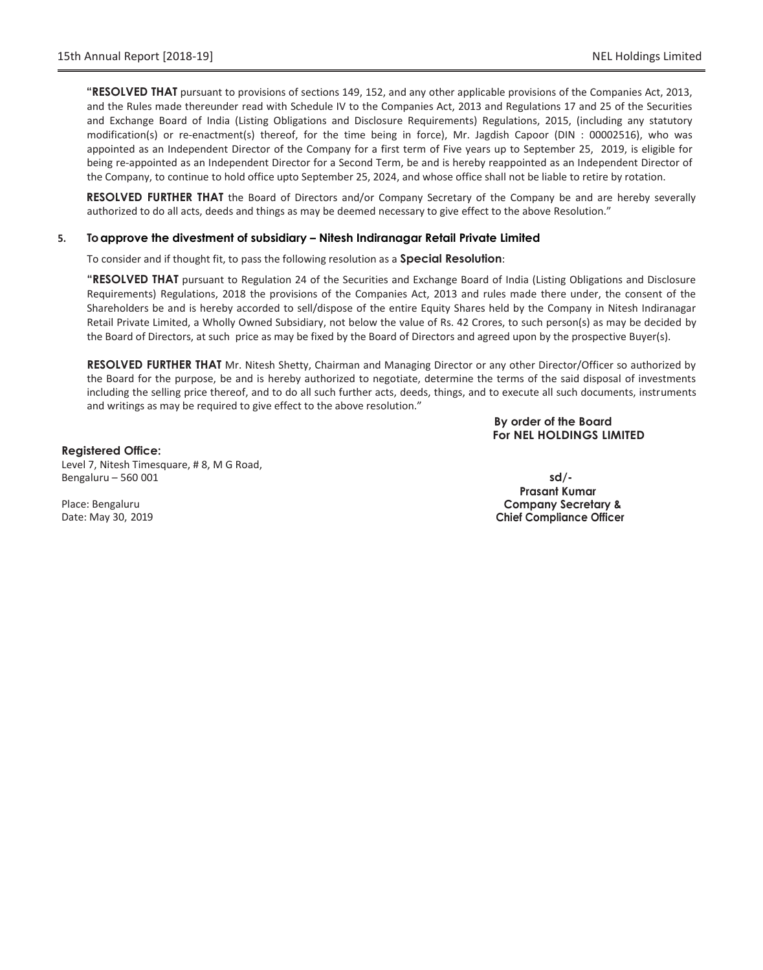**"RESOLVED THAT** pursuant to provisions of sections 149, 152, and any other applicable provisions of the Companies Act, 2013, and the Rules made thereunder read with Schedule IV to the Companies Act, 2013 and Regulations 17 and 25 of the Securities and Exchange Board of India (Listing Obligations and Disclosure Requirements) Regulations, 2015, (including any statutory modification(s) or re-enactment(s) thereof, for the time being in force), Mr. Jagdish Capoor (DIN : 00002516), who was appointed as an Independent Director of the Company for a first term of Five years up to September 25, 2019, is eligible for being re-appointed as an Independent Director for a Second Term, be and is hereby reappointed as an Independent Director of the Company, to continue to hold office upto September 25, 2024, and whose office shall not be liable to retire by rotation.

**RESOLVED FURTHER THAT** the Board of Directors and/or Company Secretary of the Company be and are hereby severally authorized to do all acts, deeds and things as may be deemed necessary to give effect to the above Resolution."

### **5. Toapprove the divestment of subsidiary – Nitesh Indiranagar Retail Private Limited**

To consider and if thought fit, to pass the following resolution as a **Special Resolution**:

**"RESOLVED THAT** pursuant to Regulation 24 of the Securities and Exchange Board of India (Listing Obligations and Disclosure Requirements) Regulations, 2018 the provisions of the Companies Act, 2013 and rules made there under, the consent of the Shareholders be and is hereby accorded to sell/dispose of the entire Equity Shares held by the Company in Nitesh Indiranagar Retail Private Limited, a Wholly Owned Subsidiary, not below the value of Rs. 42 Crores, to such person(s) as may be decided by the Board of Directors, at such price as may be fixed by the Board of Directors and agreed upon by the prospective Buyer(s).

**RESOLVED FURTHER THAT** Mr. Nitesh Shetty, Chairman and Managing Director or any other Director/Officer so authorized by the Board for the purpose, be and is hereby authorized to negotiate, determine the terms of the said disposal of investments including the selling price thereof, and to do all such further acts, deeds, things, and to execute all such documents, instruments and writings as may be required to give effect to the above resolution."

> **By order of the Board For NEL HOLDINGS LIMITED**

**Registered Office:** Level 7, Nitesh Timesquare, # 8, M G Road, Bengaluru – 560 001 **sd/-**

**Prasant Kumar Company Secretary & Chief Compliance Officer**

Place: Bengaluru Date: May 30, 2019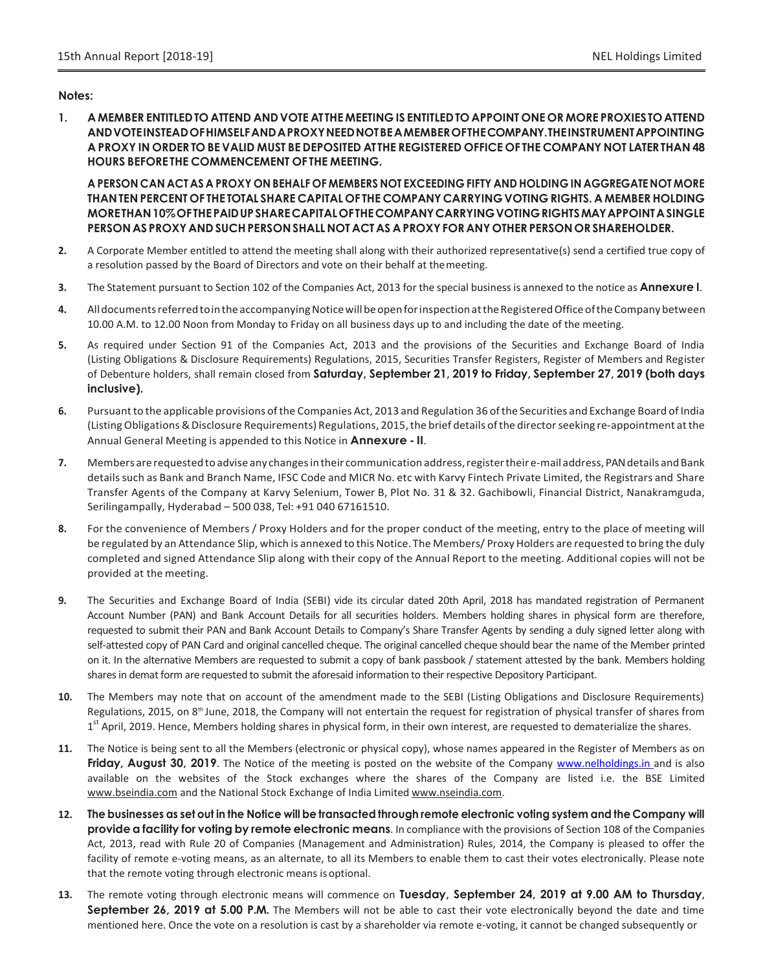### **Notes:**

**1. A MEMBER ENTITLEDTO ATTEND ANDVOTE ATTHE MEETING IS ENTITLEDTO APPOINT ONE OR MORE PROXIESTO ATTEND ANDVOTEINSTEADOFHIMSELFANDAPROXYNEEDNOTBEAMEMBEROFTHECOMPANY.THEINSTRUMENTAPPOINTING**  A PROXY IN ORDER TO BE VALID MUST BE DEPOSITED AT THE REGISTERED OFFICE OF THE COMPANY NOT LATER THAN 48 **HOURS BEFORE THE COMMENCEMENT OF THE MEETING.**

A PERSON CAN ACT AS A PROXY ON BEHALF OF MEMBERS NOT EXCEEDING FIFTY AND HOLDING IN AGGREGATE NOT MORE **THANTEN PERCENT OF THE TOTAL SHARE CAPITAL OF THE COMPANYCARRYING VOTING RIGHTS. A MEMBERHOLDING MORETHAN10%OFTHEPAIDUPSHARECAPITALOFTHECOMPANYCARRYINGVOTINGRIGHTSMAYAPPOINTASINGLE PERSONAS PROXY AND SUCHPERSONSHALL NOT ACT AS APROXYFOR ANY OTHER PERSON OR SHAREHOLDER.**

- **2.** A Corporate Member entitled to attend the meeting shall along with their authorized representative(s) send a certified true copy of a resolution passed by the Board of Directors and vote on their behalf at themeeting.
- **3.** The Statement pursuant to Section 102 of the Companies Act, 2013 for the special business is annexed to the notice as **Annexure I**.
- **4.** Alldocumentsreferredtointhe accompanyingNoticewillbeopenforinspectionattheRegisteredOfficeoftheCompanybetween 10.00 A.M. to 12.00 Noon from Monday to Friday on all business days up to and including the date of the meeting.
- **5.** As required under Section 91 of the Companies Act, 2013 and the provisions of the Securities and Exchange Board of India (Listing Obligations & Disclosure Requirements) Regulations, 2015, Securities Transfer Registers, Register of Members and Register of Debenture holders, shall remain closed from **Saturday, September 21, 2019 to Friday, September 27, 2019 (both days inclusive).**
- **6.** Pursuantto the applicable provisions ofthe Companies Act, 2013 and Regulation 36 ofthe Securities and Exchange Board of India (ListingObligations&Disclosure Requirements) Regulations, 2015,the brief details ofthe directorseeking re-appointment atthe Annual General Meeting is appended to this Notice in **Annexure - II**.
- 7. Members are requested to advise any changes in their communication address, register their e-mail address, PAN details and Bank detailssuch as Bank and Branch Name, IFSC Code and MICR No. etc with Karvy Fintech Private Limited, the Registrars and Share Transfer Agents of the Company at Karvy Selenium, Tower B, Plot No. 31 & 32. Gachibowli, Financial District, Nanakramguda, Serilingampally, Hyderabad – 500 038, Tel: +91 040 67161510.
- **8.** For the convenience of Members / Proxy Holders and for the proper conduct of the meeting, entry to the place of meeting will be regulated by an Attendance Slip, which is annexed to this Notice. The Members/ Proxy Holders are requested to bring the duly completed and signed Attendance Slip along with their copy of the Annual Report to the meeting. Additional copies will not be provided at the meeting.
- **9.** The Securities and Exchange Board of India (SEBI) vide its circular dated 20th April, 2018 has mandated registration of Permanent Account Number (PAN) and Bank Account Details for all securities holders. Members holding shares in physical form are therefore, requested to submit their PAN and Bank Account Details to Company's Share Transfer Agents by sending a duly signed letter along with self-attested copy of PAN Card and original cancelled cheque. The original cancelled cheque should bear the name of the Member printed on it. In the alternative Members are requested to submit a copy of bank passbook / statement attested by the bank. Members holding shares in demat form are requested to submit the aforesaid information to their respective Depository Participant.
- **10.** The Members may note that on account of the amendment made to the SEBI (Listing Obligations and Disclosure Requirements) Regulations, 2015, on 8<sup>th</sup> June, 2018, the Company will not entertain the request for registration of physical transfer of shares from 1<sup>st</sup> April, 2019. Hence, Members holding shares in physical form, in their own interest, are requested to dematerialize the shares.
- **11.** The Notice is being sent to all the Members (electronic or physical copy), whose names appeared in the Register of Members as on **Friday, August 30, 2019**. The Notice of the meeting is posted on the website of the Company www.nelholdings.in and is also available on the websites of the Stock exchanges where the shares of the Company are listed i.e. the BSE Limite[d](http://www.bseindia.com/) [www.bseindia.com](http://www.bseindia.com/) and the National Stock Exchange of India Limited [www.nseindia.com.](http://www.nseindia.com/)
- 12. The businesses as set out in the Notice will be transacted through remote electronic voting system and the Company will **provide a facility for voting by remote electronic means**. In compliance with the provisions of Section 108 of the Companies Act, 2013, read with Rule 20 of Companies (Management and Administration) Rules, 2014, the Company is pleased to offer the facility of remote e-voting means, as an alternate, to all its Members to enable them to cast their votes electronically. Please note that the remote voting through electronic means isoptional.
- **13.** The remote voting through electronic means will commence on **Tuesday, September 24, 2019 at 9.00 AM to Thursday, September 26, 2019 at 5.00 P.M.** The Members will not be able to cast their vote electronically beyond the date and time mentioned here. Once the vote on a resolution is cast by a shareholder via remote e-voting, it cannot be changed subsequently or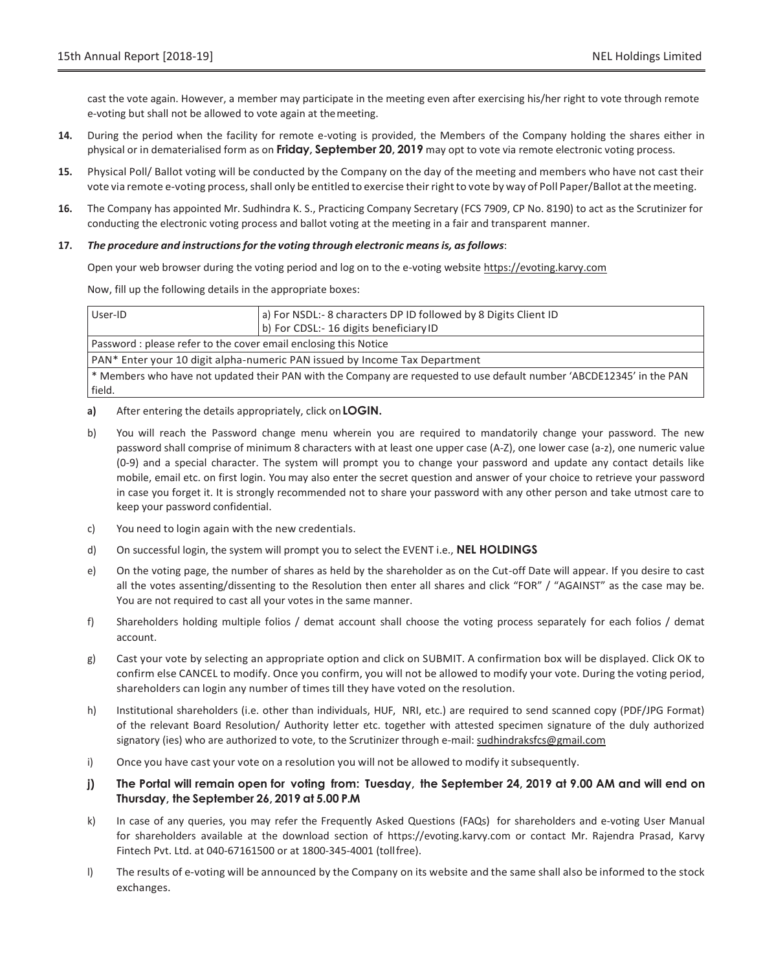cast the vote again. However, a member may participate in the meeting even after exercising his/her right to vote through remote e-voting but shall not be allowed to vote again at themeeting.

- **14.** During the period when the facility for remote e-voting is provided, the Members of the Company holding the shares either in physical or in dematerialised form as on **Friday, September 20, 2019** may opt to vote via remote electronic voting process.
- **15.** Physical Poll/ Ballot voting will be conducted by the Company on the day of the meeting and members who have not cast their vote via remote e-voting process, shall only be entitled to exercise their right to vote by way of Poll Paper/Ballot at the meeting.
- **16.** The Company has appointed Mr. Sudhindra K. S., Practicing Company Secretary (FCS 7909, CP No. 8190) to act as the Scrutinizer for conducting the electronic voting process and ballot voting at the meeting in a fair and transparent manner.

### **17.** *The procedure and instructionsfor the voting through electronic meansis, asfollows*:

Open your web browser during the voting period and log on to the e-voting website https://evoting.karvy.com

Now, fill up the following details in the appropriate boxes:

| User-ID                                                                    | a) For NSDL:- 8 characters DP ID followed by 8 Digits Client ID<br>b) For CDSL:-16 digits beneficiary ID                                                                                                                                                                                                    |  |  |  |
|----------------------------------------------------------------------------|-------------------------------------------------------------------------------------------------------------------------------------------------------------------------------------------------------------------------------------------------------------------------------------------------------------|--|--|--|
| Password: please refer to the cover email enclosing this Notice            |                                                                                                                                                                                                                                                                                                             |  |  |  |
| PAN* Enter your 10 digit alpha-numeric PAN issued by Income Tax Department |                                                                                                                                                                                                                                                                                                             |  |  |  |
|                                                                            | $\mathbf{r}$ , $\mathbf{r}$ , $\mathbf{r}$ , $\mathbf{r}$ , $\mathbf{r}$ , $\mathbf{r}$ , $\mathbf{r}$ , $\mathbf{r}$ , $\mathbf{r}$ , $\mathbf{r}$ , $\mathbf{r}$ , $\mathbf{r}$ , $\mathbf{r}$ , $\mathbf{r}$ , $\mathbf{r}$ , $\mathbf{r}$ , $\mathbf{r}$ , $\mathbf{r}$ , $\mathbf{r}$ , $\mathbf{r}$ , |  |  |  |

Members who have not updated their PAN with the Company are requested to use default number 'ABCDE12345' in the PAN field.

- **a)** After entering the details appropriately, click on**LOGIN.**
- b) You will reach the Password change menu wherein you are required to mandatorily change your password. The new password shall comprise of minimum 8 characters with at least one upper case (A-Z), one lower case (a-z), one numeric value (0-9) and a special character. The system will prompt you to change your password and update any contact details like mobile, email etc. on first login. You may also enter the secret question and answer of your choice to retrieve your password in case you forget it. It is strongly recommended not to share your password with any other person and take utmost care to keep your password confidential.
- c) You need to login again with the new credentials.
- d) On successful login, the system will prompt you to select the EVENT i.e., **NEL HOLDINGS**
- e) On the voting page, the number of shares as held by the shareholder as on the Cut-off Date will appear. If you desire to cast all the votes assenting/dissenting to the Resolution then enter all shares and click "FOR" / "AGAINST" as the case may be. You are not required to cast all your votes in the same manner.
- f) Shareholders holding multiple folios / demat account shall choose the voting process separately for each folios / demat account.
- g) Cast your vote by selecting an appropriate option and click on SUBMIT. A confirmation box will be displayed. Click OK to confirm else CANCEL to modify. Once you confirm, you will not be allowed to modify your vote. During the voting period, shareholders can login any number of times till they have voted on the resolution.
- h) Institutional shareholders (i.e. other than individuals, HUF, NRI, etc.) are required to send scanned copy (PDF/JPG Format) of the relevant Board Resolution/ Authority letter etc. together with attested specimen signature of the duly authorized signatory (ies) who are authorized to vote, to the Scrutinizer through e-mail: [sudhindraksfcs@gmail.com](mailto:sudhindraksfcs@gmail.com)
- i) Once you have cast your vote on a resolution you will not be allowed to modify it subsequently.

### j) The Portal will remain open for voting from: Tuesday, the September 24, 2019 at 9.00 AM and will end on **Thursday, the September 26, 2019 at 5.00 P.M**

- k) In case of any queries, you may refer the Frequently Asked Questions (FAQs) for shareholders and e-voting User Manual for shareholders available at the download section of https://evoting.karvy.com or contact Mr. Rajendra Prasad, Karvy Fintech Pvt. Ltd. at 040-67161500 or at 1800-345-4001 (tollfree).
- l) The results of e-voting will be announced by the Company on its website and the same shall also be informed to the stock exchanges.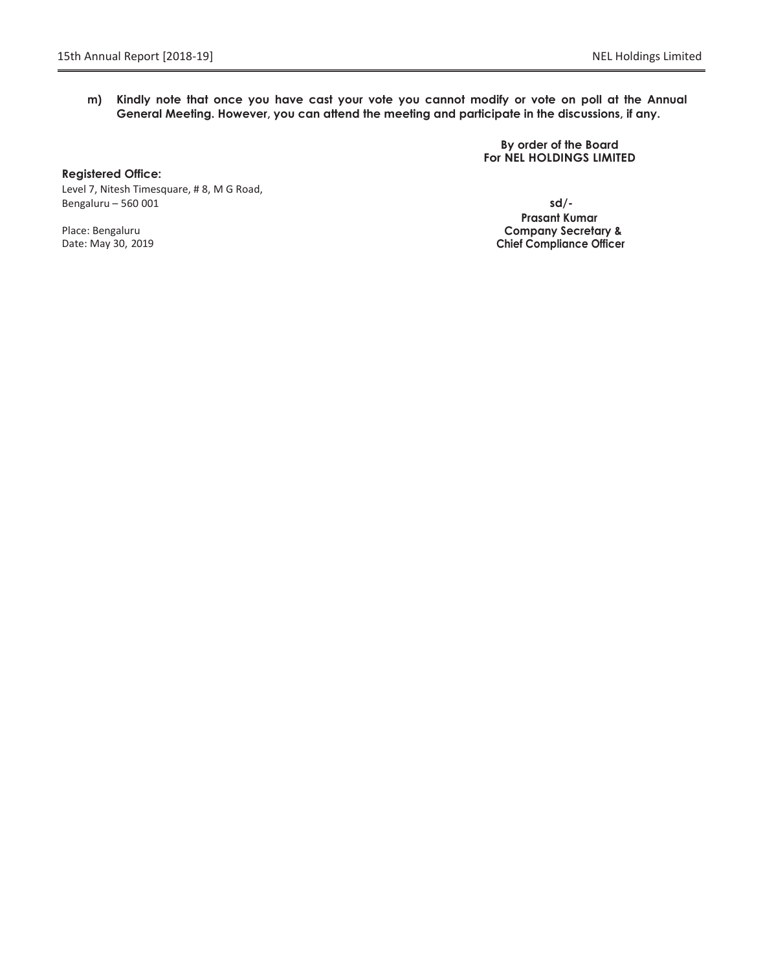**m) Kindly note that once you have cast your vote you cannot modify or vote on poll at the Annual General Meeting. However, you can attend the meeting and participate in the discussions, if any.**

> **By order of the Board For NEL HOLDINGS LIMITED**

**Registered Office:** Level 7, Nitesh Timesquare, # 8, M G Road, Bengaluru – 560 001 **sd/-**

Place: Bengaluru Date: May 30, 2019

**Prasant Kumar Company Secretary & Chief Compliance Officer**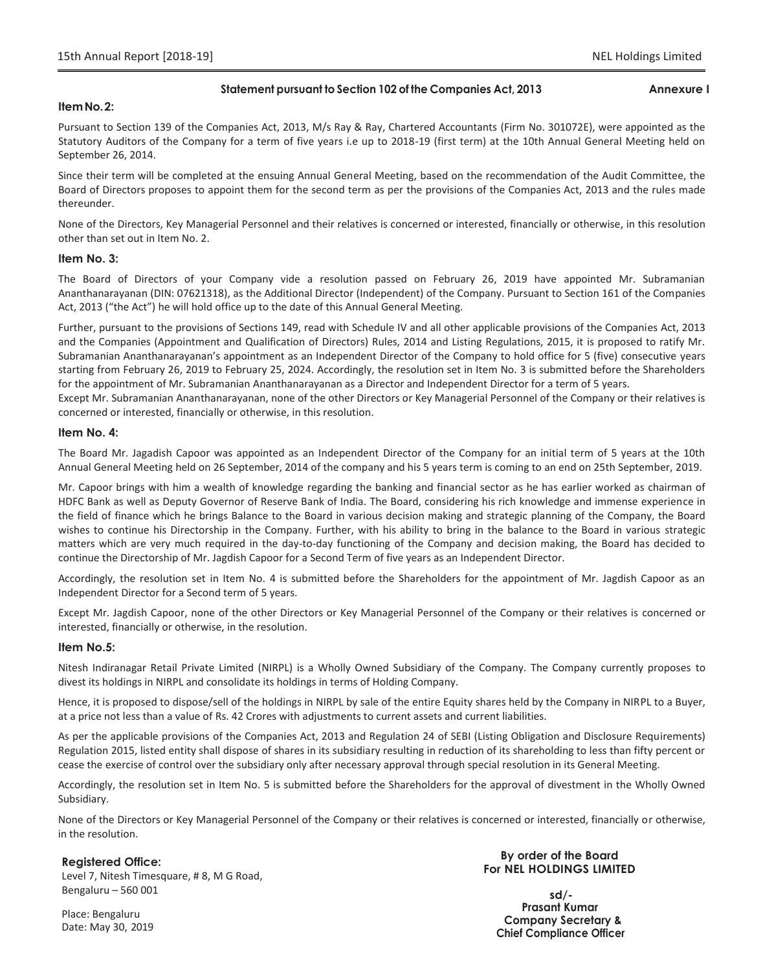### **Statement pursuant to Section 102 of the Companies Act, 2013 Annexure I**

### **ItemNo.2:**

Pursuant to Section 139 of the Companies Act, 2013, M/s Ray & Ray, Chartered Accountants (Firm No. 301072E), were appointed as the Statutory Auditors of the Company for a term of five years i.e up to 2018-19 (first term) at the 10th Annual General Meeting held on September 26, 2014.

Since their term will be completed at the ensuing Annual General Meeting, based on the recommendation of the Audit Committee, the Board of Directors proposes to appoint them for the second term as per the provisions of the Companies Act, 2013 and the rules made thereunder.

None of the Directors, Key Managerial Personnel and their relatives is concerned or interested, financially or otherwise, in this resolution other than set out in Item No. 2.

### **Item No. 3:**

The Board of Directors of your Company vide a resolution passed on February 26, 2019 have appointed Mr. Subramanian Ananthanarayanan (DIN: 07621318), as the Additional Director (Independent) of the Company. Pursuant to Section 161 of the Companies Act, 2013 ("the Act") he will hold office up to the date of this Annual General Meeting.

Further, pursuant to the provisions of Sections 149, read with Schedule IV and all other applicable provisions of the Companies Act, 2013 and the Companies (Appointment and Qualification of Directors) Rules, 2014 and Listing Regulations, 2015, it is proposed to ratify Mr. Subramanian Ananthanarayanan's appointment as an Independent Director of the Company to hold office for 5 (five) consecutive years starting from February 26, 2019 to February 25, 2024. Accordingly, the resolution set in Item No. 3 is submitted before the Shareholders for the appointment of Mr. Subramanian Ananthanarayanan as a Director and Independent Director for a term of 5 years.

Except Mr. Subramanian Ananthanarayanan, none of the other Directors or Key Managerial Personnel of the Company or their relatives is concerned or interested, financially or otherwise, in this resolution.

### **Item No. 4:**

The Board Mr. Jagadish Capoor was appointed as an Independent Director of the Company for an initial term of 5 years at the 10th Annual General Meeting held on 26 September, 2014 of the company and his 5 years term is coming to an end on 25th September, 2019.

Mr. Capoor brings with him a wealth of knowledge regarding the banking and financial sector as he has earlier worked as chairman of HDFC Bank as well as Deputy Governor of Reserve Bank of India. The Board, considering his rich knowledge and immense experience in the field of finance which he brings Balance to the Board in various decision making and strategic planning of the Company, the Board wishes to continue his Directorship in the Company. Further, with his ability to bring in the balance to the Board in various strategic matters which are very much required in the day-to-day functioning of the Company and decision making, the Board has decided to continue the Directorship of Mr. Jagdish Capoor for a Second Term of five years as an Independent Director.

Accordingly, the resolution set in Item No. 4 is submitted before the Shareholders for the appointment of Mr. Jagdish Capoor as an Independent Director for a Second term of 5 years.

Except Mr. Jagdish Capoor, none of the other Directors or Key Managerial Personnel of the Company or their relatives is concerned or interested, financially or otherwise, in the resolution.

### **Item No.5:**

Nitesh Indiranagar Retail Private Limited (NIRPL) is a Wholly Owned Subsidiary of the Company. The Company currently proposes to divest its holdings in NIRPL and consolidate its holdings in terms of Holding Company.

Hence, it is proposed to dispose/sell of the holdings in NIRPL by sale of the entire Equity shares held by the Company in NIRPL to a Buyer, at a price not less than a value of Rs. 42 Crores with adjustments to current assets and current liabilities.

As per the applicable provisions of the Companies Act, 2013 and Regulation 24 of SEBI (Listing Obligation and Disclosure Requirements) Regulation 2015, listed entity shall dispose of shares in its subsidiary resulting in reduction of its shareholding to less than fifty percent or cease the exercise of control over the subsidiary only after necessary approval through special resolution in its General Meeting.

Accordingly, the resolution set in Item No. 5 is submitted before the Shareholders for the approval of divestment in the Wholly Owned Subsidiary.

None of the Directors or Key Managerial Personnel of the Company or their relatives is concerned or interested, financially or otherwise, in the resolution.

### **Registered Office:**

Level 7, Nitesh Timesquare, # 8, M G Road, Bengaluru – 560 001

**By order of the Board For NEL HOLDINGS LIMITED**

**sd/- Prasant Kumar Company Secretary & Chief Compliance Officer**

Place: Bengaluru Date: May 30, 2019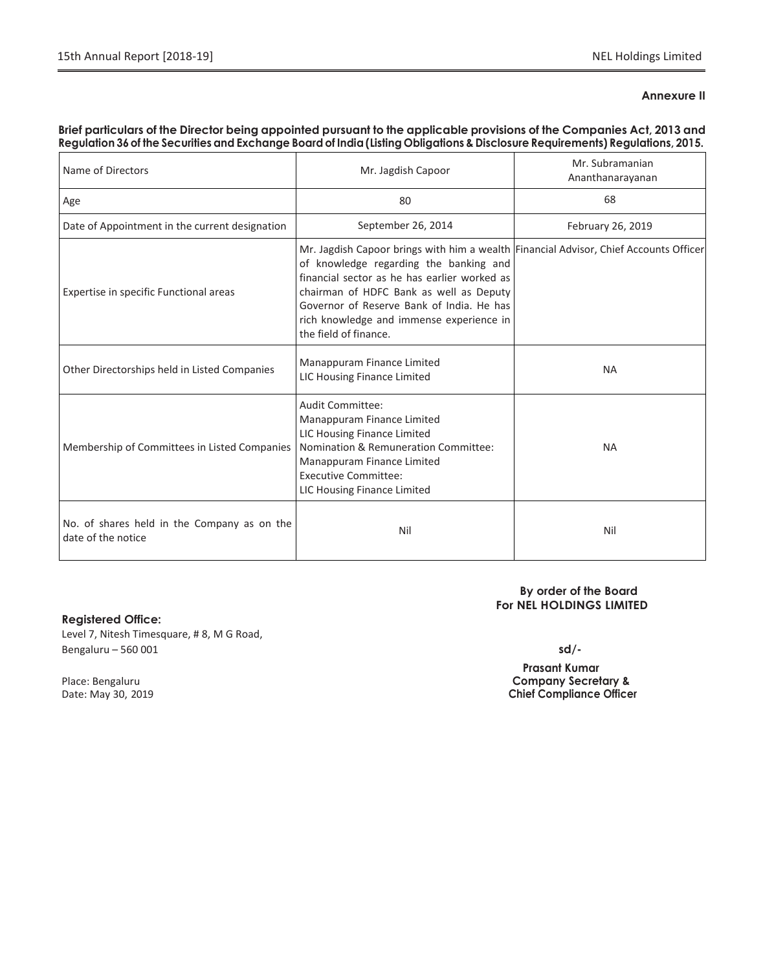### **Annexure II**

### Brief particulars of the Director being appointed pursuant to the applicable provisions of the Companies Act, 2013 and Regulation 36 of the Securities and Exchange Board of India (Listing Obligations & Disclosure Requirements) Regulations, 2015.

| Name of Directors                                                 | Mr. Jagdish Capoor                                                                                                                                                                                                                                                                                                                           | Mr. Subramanian<br>Ananthanarayanan |
|-------------------------------------------------------------------|----------------------------------------------------------------------------------------------------------------------------------------------------------------------------------------------------------------------------------------------------------------------------------------------------------------------------------------------|-------------------------------------|
| Age                                                               | 80                                                                                                                                                                                                                                                                                                                                           | 68                                  |
| Date of Appointment in the current designation                    | September 26, 2014                                                                                                                                                                                                                                                                                                                           | February 26, 2019                   |
| Expertise in specific Functional areas                            | Mr. Jagdish Capoor brings with him a wealth Financial Advisor, Chief Accounts Officer<br>of knowledge regarding the banking and<br>financial sector as he has earlier worked as<br>chairman of HDFC Bank as well as Deputy<br>Governor of Reserve Bank of India. He has<br>rich knowledge and immense experience in<br>the field of finance. |                                     |
| Other Directorships held in Listed Companies                      | Manappuram Finance Limited<br>LIC Housing Finance Limited                                                                                                                                                                                                                                                                                    | <b>NA</b>                           |
| Membership of Committees in Listed Companies                      | Audit Committee:<br>Manappuram Finance Limited<br>LIC Housing Finance Limited<br>Nomination & Remuneration Committee:<br>Manappuram Finance Limited<br><b>Executive Committee:</b><br>LIC Housing Finance Limited                                                                                                                            | <b>NA</b>                           |
| No. of shares held in the Company as on the<br>date of the notice | Nil                                                                                                                                                                                                                                                                                                                                          | Nil                                 |

### **Registered Office:**

Level 7, Nitesh Timesquare, # 8, M G Road, Bengaluru – 560 001 **sd/-**

**By order of the Board For NEL HOLDINGS LIMITED**

 **Prasant Kumar** Place: Bengaluru **Company Secretary &** Date: May 30, 2019 **Chief Compliance Officer**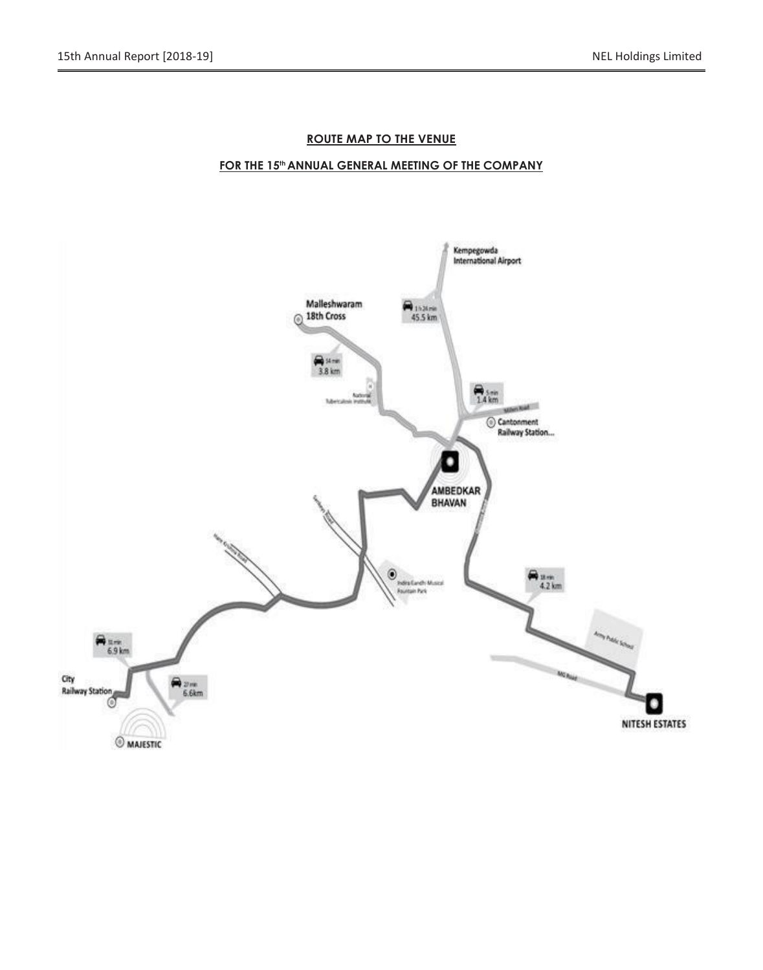### **ROUTE MAP TO THE VENUE**

### **FOR THE 15 thANNUAL GENERAL MEETING OF THE COMPANY**

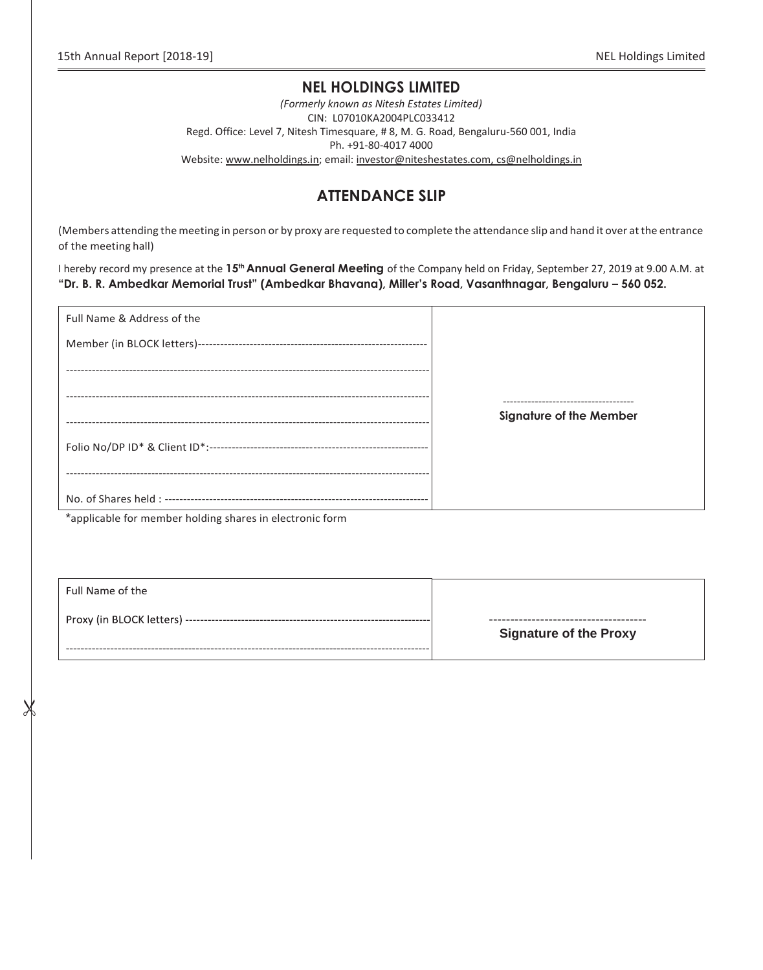### **NEL HOLDINGS LIMITED**

*(Formerly known as Nitesh Estates Limited)* CIN: L07010KA2004PLC033412 Regd. Office: Level 7, Nitesh Timesquare, # 8, M. G. Road, Bengaluru-560 001, India Ph. +91-80-4017 4000 Website: www.nelholdings.in; email[: investor@niteshestates.com,](mailto:investor@niteshestates.com) cs@nelholdings.in

### **ATTENDANCE SLIP**

(Members attending the meeting in person or by proxy are requested to complete the attendance slip and hand it over atthe entrance of the meeting hall)

I hereby record my presence at the **15<sup>th</sup> Annual General Mee<del>t</del>ing** of the Company held on Friday, September 27, 2019 at 9.00 A.M. at **"Dr. B. R. Ambedkar Memorial Trust" (Ambedkar Bhavana), Miller"s Road, Vasanthnagar, Bengaluru – 560 052.**

| Full Name & Address of the |                                       |
|----------------------------|---------------------------------------|
|                            |                                       |
|                            |                                       |
|                            | ------------------------------------- |
|                            | <b>Signature of the Member</b>        |
|                            |                                       |
|                            |                                       |
|                            |                                       |

\*applicable for member holding shares in electronic form

Ж

| Full Name of the |                               |
|------------------|-------------------------------|
|                  | <b>Signature of the Proxy</b> |
|                  |                               |